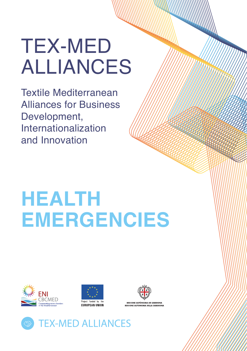# TEX-MED ALLIANCES

Textile Mediterranean Alliances for Business Development, Internationalization and Innovation

# **HEALTH EMERGENCIES**







**PEGIONE AUTÒNOMA DE SAPDIGNI** 

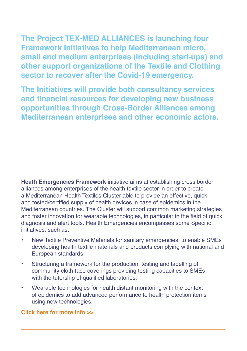**The Project TEX-MED ALLIANCES is launching four Framework Initiatives to help Mediterranean micro, small and medium enterprises (including start-ups) and other support organizations of the Textile and Clothing sector to recover after the Covid-19 emergency.** 

**The Initiatives will provide both consultancy services and financial resources for developing new business opportunities through Cross-Border Alliances among Mediterranean enterprises and other economic actors.**

**Heath Emergencies Framework** initiative aims at establishing cross border alliances among enterprises of the health textile sector in order to create a Mediterranean Health Textiles Cluster able to provide an effective, quick and tested/certified supply of health devices in case of epidemics in the Mediterranean countries. The Cluster will support common marketing strategies and foster innovation for wearable technologies, in particular in the field of quick diagnosis and alert tools. Health Emergencies encompasses some Specific initiatives, such as:

- New Textile Preventive Materials for sanitary emergencies, to enable SMEs developing health textile materials and products complying with national and European standards.
- Structuring a framework for the production, testing and labelling of community cloth-face coverings providing testing capacities to SMEs with the tutorship of qualified laboratories.
- Wearable technologies for health distant monitoring with the context of epidemics to add advanced performance to health protection items using new technologies.

**Click here for [more info >](http://www.enicbcmed.eu/projects/tex-med-alliances)>**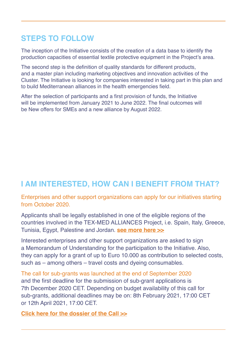## **STEPS TO FOLLOW**

The inception of the Initiative consists of the creation of a data base to identify the production capacities of essential textile protective equipment in the Project's area.

The second step is the definition of quality standards for different products, and a master plan including marketing objectives and innovation activities of the Cluster. The Initiative is looking for companies interested in taking part in this plan and to build Mediterranean alliances in the health emergencies field.

After the selection of participants and a first provision of funds, the Initiative will be implemented from January 2021 to June 2022. The final outcomes will be New offers for SMEs and a new alliance by August 2022.

## **I AM INTERESTED, HOW CAN I BENEFIT FROM THAT?**

Enterprises and other support organizations can apply for our initiatives starting from October 2020.

Applicants shall be legally established in one of the eligible regions of the countries involved in the TEX-MED ALLIANCES Project, i.e. Spain, Italy, Greece, Tunisia, Egypt, Palestine and Jordan. **[see more here](http://www.enicbcmed.eu/about-us/cooperation-area) >>**

Interested enterprises and other support organizations are asked to sign a Memorandum of Understanding for the participation to the Initiative. Also, they can apply for a grant of up to Euro 10.000 as contribution to selected costs, such as – among others – travel costs and dyeing consumables.

The call for sub-grants was launched at the end of September 2020 and the first deadline for the submission of sub-grant applications is 7th December 2020 CET. Depending on budget availability of this call for sub-grants, additional deadlines may be on: 8th February 2021, 17:00 CET or 12th April 2021, 17:00 CET.

**Click here for the dossier of the Cal[l >>](http://www.enicbcmed.eu/tex-med-alliances-offers-financial-support-foster-internationalization-circular-economy-and)**